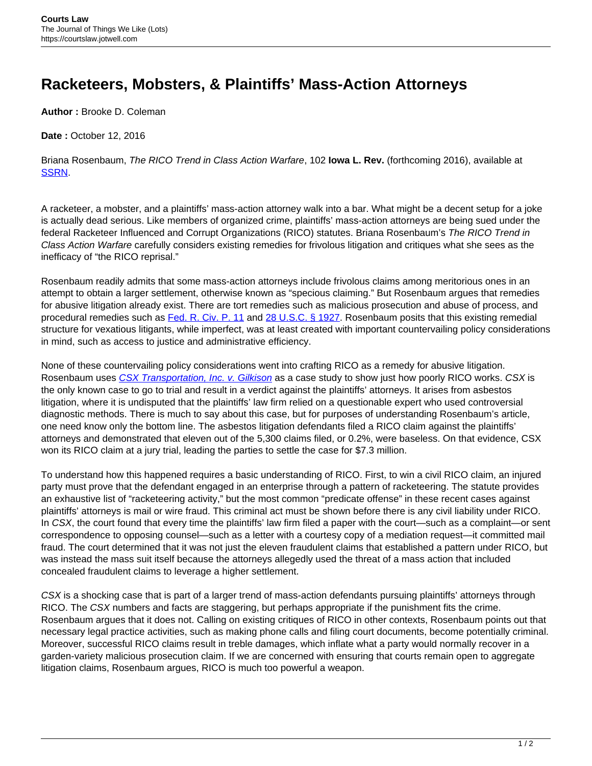## **Racketeers, Mobsters, & Plaintiffs' Mass-Action Attorneys**

**Author :** Brooke D. Coleman

**Date :** October 12, 2016

Briana Rosenbaum, The RICO Trend in Class Action Warfare, 102 **Iowa L. Rev.** (forthcoming 2016), available at [SSRN](http://ssrn.com/abstract=2745503).

A racketeer, a mobster, and a plaintiffs' mass-action attorney walk into a bar. What might be a decent setup for a joke is actually dead serious. Like members of organized crime, plaintiffs' mass-action attorneys are being sued under the federal Racketeer Influenced and Corrupt Organizations (RICO) statutes. Briana Rosenbaum's The RICO Trend in Class Action Warfare carefully considers existing remedies for frivolous litigation and critiques what she sees as the inefficacy of "the RICO reprisal."

Rosenbaum readily admits that some mass-action attorneys include frivolous claims among meritorious ones in an attempt to obtain a larger settlement, otherwise known as "specious claiming." But Rosenbaum argues that remedies for abusive litigation already exist. There are tort remedies such as malicious prosecution and abuse of process, and procedural remedies such as [Fed. R. Civ. P. 11](https://www.law.cornell.edu/rules/frcp/rule_11) and [28 U.S.C. § 1927.](https://www.law.cornell.edu/uscode/text/28/1927) Rosenbaum posits that this existing remedial structure for vexatious litigants, while imperfect, was at least created with important countervailing policy considerations in mind, such as access to justice and administrative efficiency.

None of these countervailing policy considerations went into crafting RICO as a remedy for abusive litigation. Rosenbaum uses [CSX Transportation, Inc. v. Gilkison](https://scholar.google.com/scholar_case?case=10500646073503952420&hl=en&as_sdt=6&as_vis=1&oi=scholarr) as a case study to show just how poorly RICO works. CSX is the only known case to go to trial and result in a verdict against the plaintiffs' attorneys. It arises from asbestos litigation, where it is undisputed that the plaintiffs' law firm relied on a questionable expert who used controversial diagnostic methods. There is much to say about this case, but for purposes of understanding Rosenbaum's article, one need know only the bottom line. The asbestos litigation defendants filed a RICO claim against the plaintiffs' attorneys and demonstrated that eleven out of the 5,300 claims filed, or 0.2%, were baseless. On that evidence, CSX won its RICO claim at a jury trial, leading the parties to settle the case for \$7.3 million.

To understand how this happened requires a basic understanding of RICO. First, to win a civil RICO claim, an injured party must prove that the defendant engaged in an enterprise through a pattern of racketeering. The statute provides an exhaustive list of "racketeering activity," but the most common "predicate offense" in these recent cases against plaintiffs' attorneys is mail or wire fraud. This criminal act must be shown before there is any civil liability under RICO. In CSX, the court found that every time the plaintiffs' law firm filed a paper with the court—such as a complaint—or sent correspondence to opposing counsel—such as a letter with a courtesy copy of a mediation request—it committed mail fraud. The court determined that it was not just the eleven fraudulent claims that established a pattern under RICO, but was instead the mass suit itself because the attorneys allegedly used the threat of a mass action that included concealed fraudulent claims to leverage a higher settlement.

CSX is a shocking case that is part of a larger trend of mass-action defendants pursuing plaintiffs' attorneys through RICO. The CSX numbers and facts are staggering, but perhaps appropriate if the punishment fits the crime. Rosenbaum argues that it does not. Calling on existing critiques of RICO in other contexts, Rosenbaum points out that necessary legal practice activities, such as making phone calls and filing court documents, become potentially criminal. Moreover, successful RICO claims result in treble damages, which inflate what a party would normally recover in a garden-variety malicious prosecution claim. If we are concerned with ensuring that courts remain open to aggregate litigation claims, Rosenbaum argues, RICO is much too powerful a weapon.